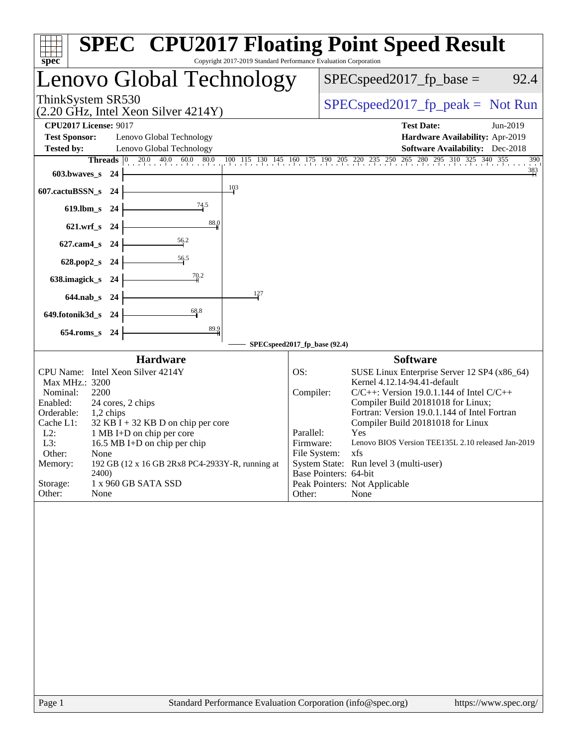| spec                                                                                                                                                                                                                                                                                                                                                                                                                                    | <b>SPEC<sup>®</sup> CPU2017 Floating Point Speed Result</b><br>Copyright 2017-2019 Standard Performance Evaluation Corporation                                                                                                                                                                                                                                                                                                                                                                                                   |
|-----------------------------------------------------------------------------------------------------------------------------------------------------------------------------------------------------------------------------------------------------------------------------------------------------------------------------------------------------------------------------------------------------------------------------------------|----------------------------------------------------------------------------------------------------------------------------------------------------------------------------------------------------------------------------------------------------------------------------------------------------------------------------------------------------------------------------------------------------------------------------------------------------------------------------------------------------------------------------------|
| Lenovo Global Technology                                                                                                                                                                                                                                                                                                                                                                                                                | $SPEC speed2017_fp\_base =$<br>92.4                                                                                                                                                                                                                                                                                                                                                                                                                                                                                              |
| ThinkSystem SR530<br>$(2.20 \text{ GHz}, \text{Intel Xeon Silver } 4214 \text{Y})$                                                                                                                                                                                                                                                                                                                                                      | $SPEC speed2017_fp\_peak = Not Run$                                                                                                                                                                                                                                                                                                                                                                                                                                                                                              |
| <b>CPU2017 License: 9017</b>                                                                                                                                                                                                                                                                                                                                                                                                            | <b>Test Date:</b><br>Jun-2019                                                                                                                                                                                                                                                                                                                                                                                                                                                                                                    |
| <b>Test Sponsor:</b><br>Lenovo Global Technology                                                                                                                                                                                                                                                                                                                                                                                        | Hardware Availability: Apr-2019                                                                                                                                                                                                                                                                                                                                                                                                                                                                                                  |
| Lenovo Global Technology<br><b>Tested by:</b>                                                                                                                                                                                                                                                                                                                                                                                           | <b>Software Availability:</b> Dec-2018                                                                                                                                                                                                                                                                                                                                                                                                                                                                                           |
| $20.0$ $40.0$ $60.0$ $80.0$<br>Threads $ 0\rangle$                                                                                                                                                                                                                                                                                                                                                                                      | 100 115 130 145 160 175 190 205 220 235 250 265 280 295 310 325 340 355<br>390                                                                                                                                                                                                                                                                                                                                                                                                                                                   |
| 603.bwaves_s 24                                                                                                                                                                                                                                                                                                                                                                                                                         | $\frac{383}{1}$                                                                                                                                                                                                                                                                                                                                                                                                                                                                                                                  |
| 103<br>607.cactuBSSN_s 24                                                                                                                                                                                                                                                                                                                                                                                                               |                                                                                                                                                                                                                                                                                                                                                                                                                                                                                                                                  |
| $\frac{74.5}{4}$<br>619.lbm_s 24                                                                                                                                                                                                                                                                                                                                                                                                        |                                                                                                                                                                                                                                                                                                                                                                                                                                                                                                                                  |
| 88.0<br>621.wrf_s 24                                                                                                                                                                                                                                                                                                                                                                                                                    |                                                                                                                                                                                                                                                                                                                                                                                                                                                                                                                                  |
| $\frac{56.2}{7}$<br>627.cam4_s 24                                                                                                                                                                                                                                                                                                                                                                                                       |                                                                                                                                                                                                                                                                                                                                                                                                                                                                                                                                  |
| $\frac{56.5}{2}$<br>628.pop2_s 24                                                                                                                                                                                                                                                                                                                                                                                                       |                                                                                                                                                                                                                                                                                                                                                                                                                                                                                                                                  |
| 70.2<br>638.imagick_s 24                                                                                                                                                                                                                                                                                                                                                                                                                |                                                                                                                                                                                                                                                                                                                                                                                                                                                                                                                                  |
| 127<br>644.nab s 24                                                                                                                                                                                                                                                                                                                                                                                                                     |                                                                                                                                                                                                                                                                                                                                                                                                                                                                                                                                  |
| 68.8<br>649.fotonik3d_s 24                                                                                                                                                                                                                                                                                                                                                                                                              |                                                                                                                                                                                                                                                                                                                                                                                                                                                                                                                                  |
| 89.9<br>654.roms_s 24                                                                                                                                                                                                                                                                                                                                                                                                                   |                                                                                                                                                                                                                                                                                                                                                                                                                                                                                                                                  |
|                                                                                                                                                                                                                                                                                                                                                                                                                                         | SPECspeed2017_fp_base (92.4)                                                                                                                                                                                                                                                                                                                                                                                                                                                                                                     |
| <b>Hardware</b><br>CPU Name: Intel Xeon Silver 4214Y<br>Max MHz.: 3200<br>Nominal:<br>2200<br>Enabled:<br>24 cores, 2 chips<br>Orderable:<br>1,2 chips<br>Cache L1:<br>$32$ KB I + 32 KB D on chip per core<br>$L2$ :<br>1 MB I+D on chip per core<br>16.5 MB I+D on chip per chip<br>L3:<br>Other:<br>None<br>192 GB (12 x 16 GB 2Rx8 PC4-2933Y-R, running at<br>Memory:<br>2400)<br>Storage:<br>1 x 960 GB SATA SSD<br>Other:<br>None | <b>Software</b><br>SUSE Linux Enterprise Server 12 SP4 (x86_64)<br>OS:<br>Kernel 4.12.14-94.41-default<br>Compiler:<br>$C/C++$ : Version 19.0.1.144 of Intel $C/C++$<br>Compiler Build 20181018 for Linux;<br>Fortran: Version 19.0.1.144 of Intel Fortran<br>Compiler Build 20181018 for Linux<br>Parallel:<br>Yes<br>Lenovo BIOS Version TEE135L 2.10 released Jan-2019<br>Firmware:<br>File System: xfs<br>System State: Run level 3 (multi-user)<br>Base Pointers: 64-bit<br>Peak Pointers: Not Applicable<br>Other:<br>None |
|                                                                                                                                                                                                                                                                                                                                                                                                                                         |                                                                                                                                                                                                                                                                                                                                                                                                                                                                                                                                  |
|                                                                                                                                                                                                                                                                                                                                                                                                                                         |                                                                                                                                                                                                                                                                                                                                                                                                                                                                                                                                  |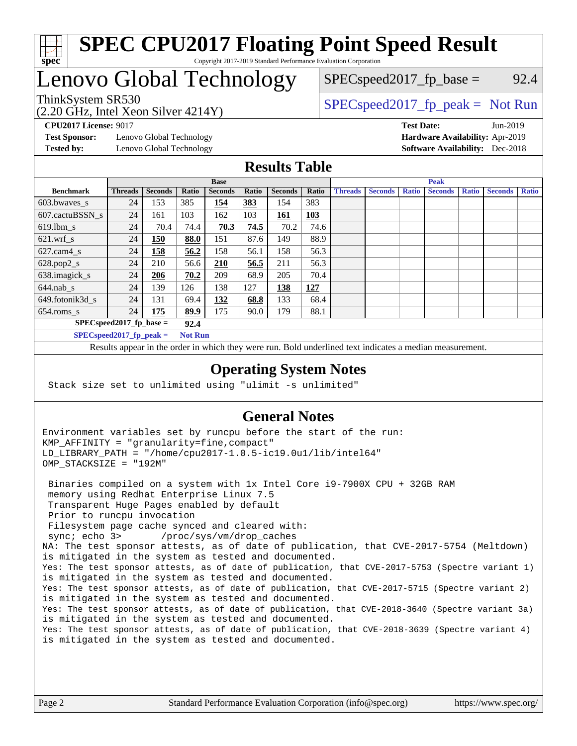

#### **[SPEC CPU2017 Floating Point Speed Result](http://www.spec.org/auto/cpu2017/Docs/result-fields.html#SPECCPU2017FloatingPointSpeedResult)** Copyright 2017-2019 Standard Performance Evaluation Corporation

## Lenovo Global Technology

 $SPEC speed2017_fp\_base = 92.4$ 

(2.20 GHz, Intel Xeon Silver 4214Y)

ThinkSystem SR530<br>  $S$ PECspeed2017\_fp\_peak = Not Run

**[Test Sponsor:](http://www.spec.org/auto/cpu2017/Docs/result-fields.html#TestSponsor)** Lenovo Global Technology **[Hardware Availability:](http://www.spec.org/auto/cpu2017/Docs/result-fields.html#HardwareAvailability)** Apr-2019 **[Tested by:](http://www.spec.org/auto/cpu2017/Docs/result-fields.html#Testedby)** Lenovo Global Technology **[Software Availability:](http://www.spec.org/auto/cpu2017/Docs/result-fields.html#SoftwareAvailability)** Dec-2018

**[CPU2017 License:](http://www.spec.org/auto/cpu2017/Docs/result-fields.html#CPU2017License)** 9017 **[Test Date:](http://www.spec.org/auto/cpu2017/Docs/result-fields.html#TestDate)** Jun-2019

### **[Results Table](http://www.spec.org/auto/cpu2017/Docs/result-fields.html#ResultsTable)**

|                            | <b>Base</b>                |                |                |                |       |                | <b>Peak</b> |                |                |              |                |              |                |              |
|----------------------------|----------------------------|----------------|----------------|----------------|-------|----------------|-------------|----------------|----------------|--------------|----------------|--------------|----------------|--------------|
| <b>Benchmark</b>           | <b>Threads</b>             | <b>Seconds</b> | Ratio          | <b>Seconds</b> | Ratio | <b>Seconds</b> | Ratio       | <b>Threads</b> | <b>Seconds</b> | <b>Ratio</b> | <b>Seconds</b> | <b>Ratio</b> | <b>Seconds</b> | <b>Ratio</b> |
| $603.bwaves$ s             | 24                         | 153            | 385            | 154            | 383   | 154            | 383         |                |                |              |                |              |                |              |
| 607.cactuBSSN s            | 24                         | 161            | 103            | 162            | 103   | 161            | <b>103</b>  |                |                |              |                |              |                |              |
| $619.1$ bm s               | 24                         | 70.4           | 74.4           | 70.3           | 74.5  | 70.2           | 74.6        |                |                |              |                |              |                |              |
| $621$ .wrf s               | 24                         | 150            | 88.0           | 151            | 87.6  | 149            | 88.9        |                |                |              |                |              |                |              |
| $627.cam4_s$               | 24                         | 158            | 56.2           | 158            | 56.1  | 158            | 56.3        |                |                |              |                |              |                |              |
| $628.pop2_s$               | 24                         | 210            | 56.6           | <b>210</b>     | 56.5  | 211            | 56.3        |                |                |              |                |              |                |              |
| 638.imagick_s              | 24                         | 206            | 70.2           | 209            | 68.9  | 205            | 70.4        |                |                |              |                |              |                |              |
| $644$ .nab s               | 24                         | 139            | 126            | 138            | 127   | 138            | 127         |                |                |              |                |              |                |              |
| 649.fotonik3d s            | 24                         | 131            | 69.4           | 132            | 68.8  | 133            | 68.4        |                |                |              |                |              |                |              |
| $654$ .roms s              | 24                         | 175            | 89.9           | 175            | 90.0  | 179            | 88.1        |                |                |              |                |              |                |              |
|                            | $SPEC speed2017$ fp base = |                |                |                |       |                |             |                |                |              |                |              |                |              |
| $SPECspeed2017_fp\_peak =$ |                            |                | <b>Not Run</b> |                |       |                |             |                |                |              |                |              |                |              |

Results appear in the [order in which they were run.](http://www.spec.org/auto/cpu2017/Docs/result-fields.html#RunOrder) Bold underlined text [indicates a median measurement](http://www.spec.org/auto/cpu2017/Docs/result-fields.html#Median).

#### **[Operating System Notes](http://www.spec.org/auto/cpu2017/Docs/result-fields.html#OperatingSystemNotes)**

Stack size set to unlimited using "ulimit -s unlimited"

#### **[General Notes](http://www.spec.org/auto/cpu2017/Docs/result-fields.html#GeneralNotes)**

Environment variables set by runcpu before the start of the run: KMP\_AFFINITY = "granularity=fine,compact" LD\_LIBRARY\_PATH = "/home/cpu2017-1.0.5-ic19.0u1/lib/intel64" OMP\_STACKSIZE = "192M"

 Binaries compiled on a system with 1x Intel Core i9-7900X CPU + 32GB RAM memory using Redhat Enterprise Linux 7.5 Transparent Huge Pages enabled by default Prior to runcpu invocation Filesystem page cache synced and cleared with: sync; echo 3> /proc/sys/vm/drop\_caches NA: The test sponsor attests, as of date of publication, that CVE-2017-5754 (Meltdown) is mitigated in the system as tested and documented. Yes: The test sponsor attests, as of date of publication, that CVE-2017-5753 (Spectre variant 1) is mitigated in the system as tested and documented. Yes: The test sponsor attests, as of date of publication, that CVE-2017-5715 (Spectre variant 2) is mitigated in the system as tested and documented. Yes: The test sponsor attests, as of date of publication, that CVE-2018-3640 (Spectre variant 3a) is mitigated in the system as tested and documented. Yes: The test sponsor attests, as of date of publication, that CVE-2018-3639 (Spectre variant 4) is mitigated in the system as tested and documented.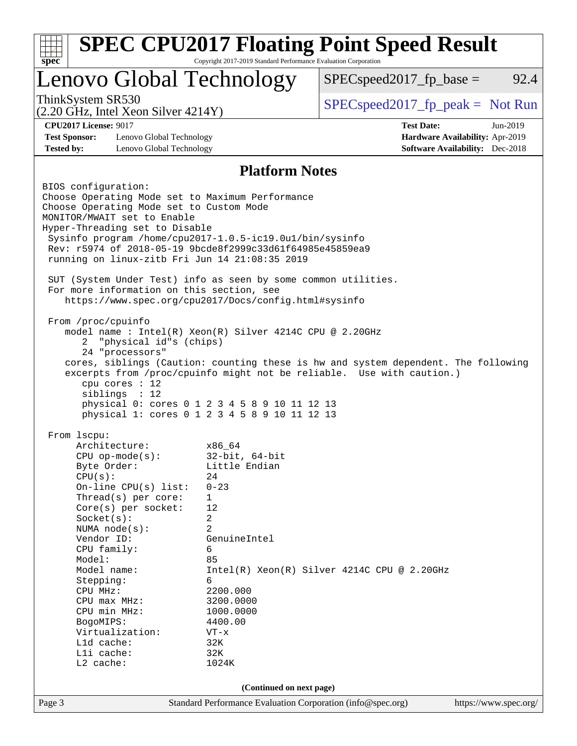| Lenovo Global Technology                                                                                                                                                                                                                                                                                      |                                 | $SPEC speed2017_fp\_base =$                                                                                                                                 | 92.4                                   |  |  |  |
|---------------------------------------------------------------------------------------------------------------------------------------------------------------------------------------------------------------------------------------------------------------------------------------------------------------|---------------------------------|-------------------------------------------------------------------------------------------------------------------------------------------------------------|----------------------------------------|--|--|--|
| ThinkSystem SR530<br>$(2.20 \text{ GHz}, \text{Intel Xeon Silver } 4214 \text{Y})$                                                                                                                                                                                                                            |                                 | $SPEC speed2017fr peak = Not Run$                                                                                                                           |                                        |  |  |  |
| <b>CPU2017 License: 9017</b>                                                                                                                                                                                                                                                                                  |                                 | <b>Test Date:</b>                                                                                                                                           | Jun-2019                               |  |  |  |
| <b>Test Sponsor:</b><br>Lenovo Global Technology                                                                                                                                                                                                                                                              |                                 |                                                                                                                                                             | Hardware Availability: Apr-2019        |  |  |  |
| <b>Tested by:</b><br>Lenovo Global Technology                                                                                                                                                                                                                                                                 |                                 |                                                                                                                                                             | <b>Software Availability:</b> Dec-2018 |  |  |  |
|                                                                                                                                                                                                                                                                                                               | <b>Platform Notes</b>           |                                                                                                                                                             |                                        |  |  |  |
| BIOS configuration:<br>Choose Operating Mode set to Maximum Performance<br>Choose Operating Mode set to Custom Mode<br>MONITOR/MWAIT set to Enable<br>Hyper-Threading set to Disable<br>Sysinfo program /home/cpu2017-1.0.5-ic19.0ul/bin/sysinfo<br>Rev: r5974 of 2018-05-19 9bcde8f2999c33d61f64985e45859ea9 |                                 |                                                                                                                                                             |                                        |  |  |  |
| running on linux-zitb Fri Jun 14 21:08:35 2019<br>SUT (System Under Test) info as seen by some common utilities.<br>For more information on this section, see<br>https://www.spec.org/cpu2017/Docs/config.html#sysinfo                                                                                        |                                 |                                                                                                                                                             |                                        |  |  |  |
| model name : Intel(R) Xeon(R) Silver 4214C CPU @ 2.20GHz<br>"physical id"s (chips)<br>2<br>24 "processors"<br>cpu cores $: 12$<br>siblings : 12<br>physical 0: cores 0 1 2 3 4 5 8 9 10 11 12 13<br>physical 1: cores 0 1 2 3 4 5 8 9 10 11 12 13                                                             |                                 | cores, siblings (Caution: counting these is hw and system dependent. The following<br>excerpts from /proc/cpuinfo might not be reliable. Use with caution.) |                                        |  |  |  |
| From 1scpu:                                                                                                                                                                                                                                                                                                   |                                 |                                                                                                                                                             |                                        |  |  |  |
| Architecture:                                                                                                                                                                                                                                                                                                 | x86_64                          |                                                                                                                                                             |                                        |  |  |  |
| $CPU$ op-mode( $s$ ):                                                                                                                                                                                                                                                                                         | $32$ -bit, $64$ -bit            |                                                                                                                                                             |                                        |  |  |  |
| Byte Order:<br>CPU(s):                                                                                                                                                                                                                                                                                        | Little Endian<br>24             |                                                                                                                                                             |                                        |  |  |  |
| On-line CPU(s) list:                                                                                                                                                                                                                                                                                          | $0 - 23$                        |                                                                                                                                                             |                                        |  |  |  |
| Thread( $s$ ) per core:                                                                                                                                                                                                                                                                                       | $\mathbf{1}$                    |                                                                                                                                                             |                                        |  |  |  |
| Core(s) per socket:                                                                                                                                                                                                                                                                                           | 12                              |                                                                                                                                                             |                                        |  |  |  |
| Socket(s):                                                                                                                                                                                                                                                                                                    | 2<br>2                          |                                                                                                                                                             |                                        |  |  |  |
| Vendor ID:                                                                                                                                                                                                                                                                                                    | NUMA $node(s):$<br>GenuineIntel |                                                                                                                                                             |                                        |  |  |  |
| CPU family:                                                                                                                                                                                                                                                                                                   | 6                               |                                                                                                                                                             |                                        |  |  |  |
| Model:                                                                                                                                                                                                                                                                                                        | 85                              |                                                                                                                                                             |                                        |  |  |  |
| Model name:<br>Stepping:                                                                                                                                                                                                                                                                                      | 6                               | $Intel(R) Xeon(R) Silver 4214C CPU @ 2.20GHz$                                                                                                               |                                        |  |  |  |
|                                                                                                                                                                                                                                                                                                               |                                 |                                                                                                                                                             |                                        |  |  |  |
| CPU MHz:                                                                                                                                                                                                                                                                                                      |                                 |                                                                                                                                                             |                                        |  |  |  |
| $CPU$ max $MHz:$                                                                                                                                                                                                                                                                                              | 2200.000<br>3200.0000           |                                                                                                                                                             |                                        |  |  |  |
| CPU min MHz:                                                                                                                                                                                                                                                                                                  | 1000.0000                       |                                                                                                                                                             |                                        |  |  |  |
| BogoMIPS:                                                                                                                                                                                                                                                                                                     | 4400.00                         |                                                                                                                                                             |                                        |  |  |  |
| Virtualization:                                                                                                                                                                                                                                                                                               | $VT - x$                        |                                                                                                                                                             |                                        |  |  |  |
| L1d cache:<br>Lli cache:                                                                                                                                                                                                                                                                                      | 32K<br>32K                      |                                                                                                                                                             |                                        |  |  |  |
| L2 cache:                                                                                                                                                                                                                                                                                                     | 1024K                           |                                                                                                                                                             |                                        |  |  |  |
|                                                                                                                                                                                                                                                                                                               | (Continued on next page)        |                                                                                                                                                             |                                        |  |  |  |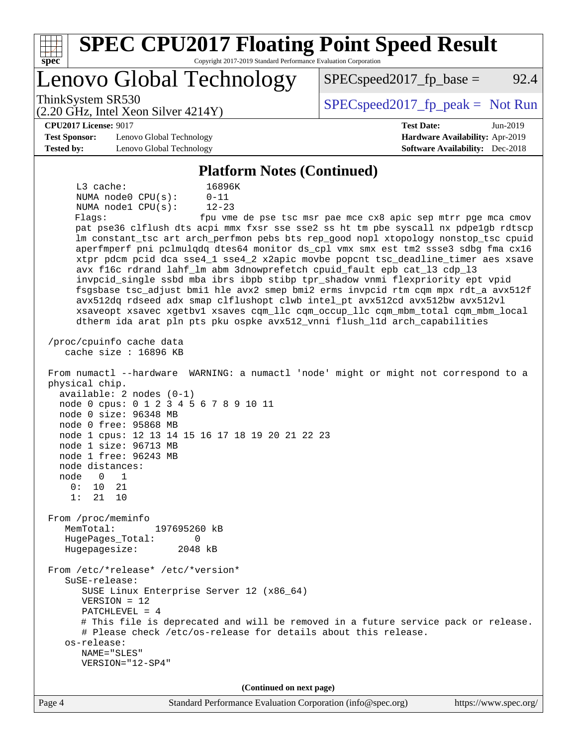| <b>SPEC CPU2017 Floating Point Speed Result</b><br>$spec*$<br>Copyright 2017-2019 Standard Performance Evaluation Corporation                                                                                                    |                                                                           |  |  |  |  |
|----------------------------------------------------------------------------------------------------------------------------------------------------------------------------------------------------------------------------------|---------------------------------------------------------------------------|--|--|--|--|
| Lenovo Global Technology                                                                                                                                                                                                         | 92.4<br>$SPEC speed2017fr base =$                                         |  |  |  |  |
| ThinkSystem SR530<br>$(2.20 \text{ GHz}, \text{Intel Xeon Silver } 4214 \text{Y})$                                                                                                                                               | $SPEC speed2017fr peak = Not Run$                                         |  |  |  |  |
| <b>CPU2017 License: 9017</b>                                                                                                                                                                                                     | <b>Test Date:</b><br>Jun-2019                                             |  |  |  |  |
| <b>Test Sponsor:</b><br>Lenovo Global Technology                                                                                                                                                                                 | Hardware Availability: Apr-2019<br><b>Software Availability:</b> Dec-2018 |  |  |  |  |
| <b>Tested by:</b><br>Lenovo Global Technology                                                                                                                                                                                    |                                                                           |  |  |  |  |
| <b>Platform Notes (Continued)</b>                                                                                                                                                                                                |                                                                           |  |  |  |  |
| L3 cache:<br>16896K<br>NUMA node0 CPU(s):<br>$0 - 11$                                                                                                                                                                            |                                                                           |  |  |  |  |
| NUMA nodel CPU(s):<br>$12 - 23$                                                                                                                                                                                                  |                                                                           |  |  |  |  |
| Flags:                                                                                                                                                                                                                           | fpu vme de pse tsc msr pae mce cx8 apic sep mtrr pge mca cmov             |  |  |  |  |
| pat pse36 clflush dts acpi mmx fxsr sse sse2 ss ht tm pbe syscall nx pdpelgb rdtscp                                                                                                                                              |                                                                           |  |  |  |  |
| lm constant_tsc art arch_perfmon pebs bts rep_good nopl xtopology nonstop_tsc cpuid<br>aperfmperf pni pclmulqdq dtes64 monitor ds_cpl vmx smx est tm2 ssse3 sdbg fma cx16                                                        |                                                                           |  |  |  |  |
| xtpr pdcm pcid dca sse4_1 sse4_2 x2apic movbe popcnt tsc_deadline_timer aes xsave                                                                                                                                                |                                                                           |  |  |  |  |
| avx f16c rdrand lahf_lm abm 3dnowprefetch cpuid_fault epb cat_13 cdp_13                                                                                                                                                          |                                                                           |  |  |  |  |
| invpcid_single ssbd mba ibrs ibpb stibp tpr_shadow vnmi flexpriority ept vpid                                                                                                                                                    |                                                                           |  |  |  |  |
| fsgsbase tsc_adjust bmil hle avx2 smep bmi2 erms invpcid rtm cqm mpx rdt_a avx512f<br>avx512dq rdseed adx smap clflushopt clwb intel_pt avx512cd avx512bw avx512vl                                                               |                                                                           |  |  |  |  |
| xsaveopt xsavec xgetbvl xsaves cqm_llc cqm_occup_llc cqm_mbm_total cqm_mbm_local                                                                                                                                                 |                                                                           |  |  |  |  |
| dtherm ida arat pln pts pku ospke avx512_vnni flush_lld arch_capabilities                                                                                                                                                        |                                                                           |  |  |  |  |
| /proc/cpuinfo cache data<br>cache size $: 16896$ KB                                                                                                                                                                              |                                                                           |  |  |  |  |
| From numactl --hardware WARNING: a numactl 'node' might or might not correspond to a<br>physical chip.<br>$available: 2 nodes (0-1)$<br>node 0 cpus: 0 1 2 3 4 5 6 7 8 9 10 11<br>node 0 size: 96348 MB<br>node 0 free: 95868 MB |                                                                           |  |  |  |  |
| node 1 cpus: 12 13 14 15 16 17 18 19 20 21 22 23<br>node 1 size: 96713 MB<br>node 1 free: 96243 MB<br>node distances:                                                                                                            |                                                                           |  |  |  |  |
| node<br>$\overline{0}$<br>1                                                                                                                                                                                                      |                                                                           |  |  |  |  |
| 0: 10<br>21                                                                                                                                                                                                                      |                                                                           |  |  |  |  |
| 1: 21 10                                                                                                                                                                                                                         |                                                                           |  |  |  |  |
| From /proc/meminfo                                                                                                                                                                                                               |                                                                           |  |  |  |  |
| MemTotal:<br>197695260 kB                                                                                                                                                                                                        |                                                                           |  |  |  |  |
| HugePages_Total:<br>0<br>Hugepagesize:<br>2048 kB                                                                                                                                                                                |                                                                           |  |  |  |  |
| From /etc/*release* /etc/*version*                                                                                                                                                                                               |                                                                           |  |  |  |  |
| $S$ uSE-release:                                                                                                                                                                                                                 |                                                                           |  |  |  |  |
| SUSE Linux Enterprise Server 12 (x86_64)<br>$VERSION = 12$                                                                                                                                                                       |                                                                           |  |  |  |  |
| $PATCHLEVEL = 4$                                                                                                                                                                                                                 |                                                                           |  |  |  |  |
| # This file is deprecated and will be removed in a future service pack or release.<br># Please check /etc/os-release for details about this release.<br>os-release:                                                              |                                                                           |  |  |  |  |
| NAME="SLES"                                                                                                                                                                                                                      |                                                                           |  |  |  |  |
| VERSION="12-SP4"                                                                                                                                                                                                                 |                                                                           |  |  |  |  |
| (Continued on next page)                                                                                                                                                                                                         |                                                                           |  |  |  |  |
|                                                                                                                                                                                                                                  |                                                                           |  |  |  |  |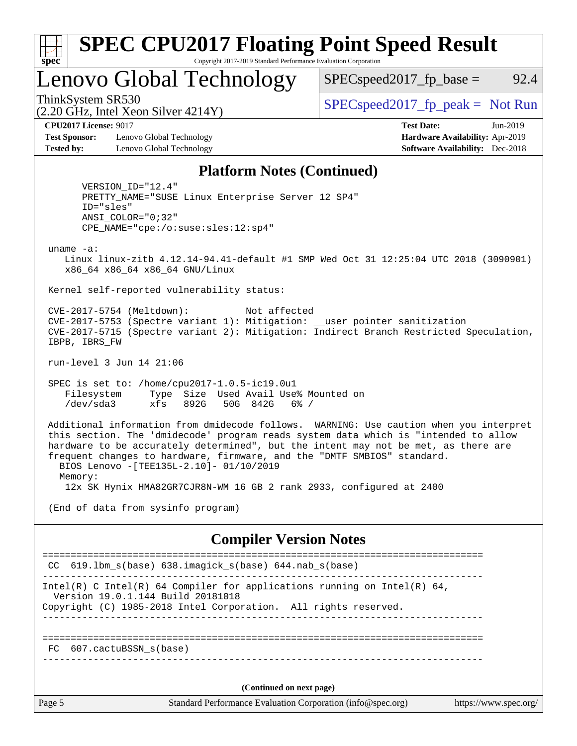| ч<br>œ<br>п.<br>c |  |  |  |  |
|-------------------|--|--|--|--|

#### **[SPEC CPU2017 Floating Point Speed Result](http://www.spec.org/auto/cpu2017/Docs/result-fields.html#SPECCPU2017FloatingPointSpeedResult)** Copyright 2017-2019 Standard Performance Evaluation Corporation

## Lenovo Global Technology

 $SPEC speed2017_fp\_base =$  92.4

(2.20 GHz, Intel Xeon Silver 4214Y)

ThinkSystem SR530<br>  $S$ PECspeed2017\_fp\_peak = Not Run

**[CPU2017 License:](http://www.spec.org/auto/cpu2017/Docs/result-fields.html#CPU2017License)** 9017 **[Test Date:](http://www.spec.org/auto/cpu2017/Docs/result-fields.html#TestDate)** Jun-2019

**[Test Sponsor:](http://www.spec.org/auto/cpu2017/Docs/result-fields.html#TestSponsor)** Lenovo Global Technology **[Hardware Availability:](http://www.spec.org/auto/cpu2017/Docs/result-fields.html#HardwareAvailability)** Apr-2019 **[Tested by:](http://www.spec.org/auto/cpu2017/Docs/result-fields.html#Testedby)** Lenovo Global Technology **[Software Availability:](http://www.spec.org/auto/cpu2017/Docs/result-fields.html#SoftwareAvailability)** Dec-2018

#### **[Platform Notes \(Continued\)](http://www.spec.org/auto/cpu2017/Docs/result-fields.html#PlatformNotes)**

 VERSION\_ID="12.4" PRETTY\_NAME="SUSE Linux Enterprise Server 12 SP4" ID="sles" ANSI\_COLOR="0;32" CPE\_NAME="cpe:/o:suse:sles:12:sp4"

uname -a:

 Linux linux-zitb 4.12.14-94.41-default #1 SMP Wed Oct 31 12:25:04 UTC 2018 (3090901) x86\_64 x86\_64 x86\_64 GNU/Linux

Kernel self-reported vulnerability status:

 CVE-2017-5754 (Meltdown): Not affected CVE-2017-5753 (Spectre variant 1): Mitigation: \_\_user pointer sanitization CVE-2017-5715 (Spectre variant 2): Mitigation: Indirect Branch Restricted Speculation, IBPB, IBRS\_FW

run-level 3 Jun 14 21:06

 SPEC is set to: /home/cpu2017-1.0.5-ic19.0u1 Filesystem Type Size Used Avail Use% Mounted on /dev/sda3 xfs 892G 50G 842G 6% /

 Additional information from dmidecode follows. WARNING: Use caution when you interpret this section. The 'dmidecode' program reads system data which is "intended to allow hardware to be accurately determined", but the intent may not be met, as there are frequent changes to hardware, firmware, and the "DMTF SMBIOS" standard. BIOS Lenovo -[TEE135L-2.10]- 01/10/2019 Memory:

12x SK Hynix HMA82GR7CJR8N-WM 16 GB 2 rank 2933, configured at 2400

(End of data from sysinfo program)

#### **[Compiler Version Notes](http://www.spec.org/auto/cpu2017/Docs/result-fields.html#CompilerVersionNotes)**

Page 5 Standard Performance Evaluation Corporation [\(info@spec.org\)](mailto:info@spec.org) <https://www.spec.org/> ============================================================================== CC 619.lbm\_s(base) 638.imagick\_s(base) 644.nab\_s(base) ------------------------------------------------------------------------------ Intel(R) C Intel(R) 64 Compiler for applications running on Intel(R)  $64$ , Version 19.0.1.144 Build 20181018 Copyright (C) 1985-2018 Intel Corporation. All rights reserved. ------------------------------------------------------------------------------ ============================================================================== FC 607.cactuBSSN\_s(base) ------------------------------------------------------------------------------ **(Continued on next page)**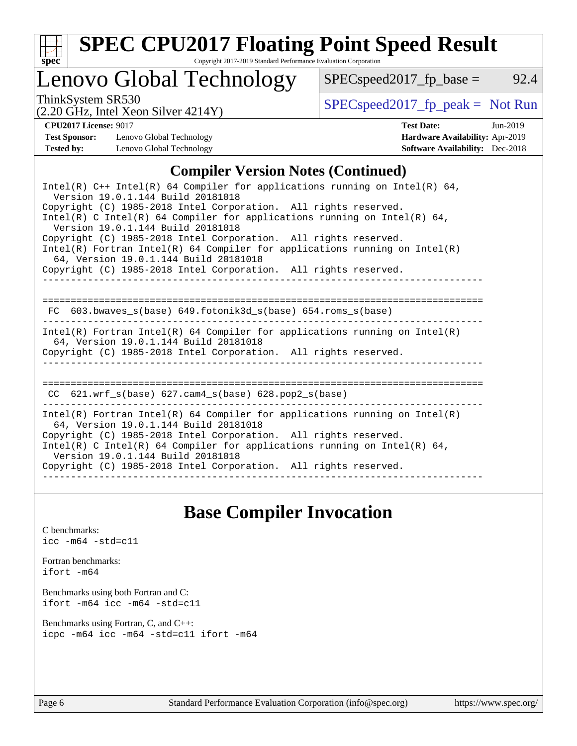

# **[SPEC CPU2017 Floating Point Speed Result](http://www.spec.org/auto/cpu2017/Docs/result-fields.html#SPECCPU2017FloatingPointSpeedResult)**

Copyright 2017-2019 Standard Performance Evaluation Corporation

## Lenovo Global Technology

ThinkSystem SR530<br>  $S$ PECspeed2017\_fp\_peak = Not Run

 $SPEC speed2017_fp\_base = 92.4$ 

#### (2.20 GHz, Intel Xeon Silver 4214Y)

**[CPU2017 License:](http://www.spec.org/auto/cpu2017/Docs/result-fields.html#CPU2017License)** 9017 **[Test Date:](http://www.spec.org/auto/cpu2017/Docs/result-fields.html#TestDate)** Jun-2019 **[Test Sponsor:](http://www.spec.org/auto/cpu2017/Docs/result-fields.html#TestSponsor)** Lenovo Global Technology **[Hardware Availability:](http://www.spec.org/auto/cpu2017/Docs/result-fields.html#HardwareAvailability)** Apr-2019 **[Tested by:](http://www.spec.org/auto/cpu2017/Docs/result-fields.html#Testedby)** Lenovo Global Technology **[Software Availability:](http://www.spec.org/auto/cpu2017/Docs/result-fields.html#SoftwareAvailability)** Dec-2018

### **[Compiler Version Notes \(Continued\)](http://www.spec.org/auto/cpu2017/Docs/result-fields.html#CompilerVersionNotes)**

Intel(R) C++ Intel(R) 64 Compiler for applications running on Intel(R)  $64$ , Version 19.0.1.144 Build 20181018 Copyright (C) 1985-2018 Intel Corporation. All rights reserved. Intel(R) C Intel(R) 64 Compiler for applications running on Intel(R) 64, Version 19.0.1.144 Build 20181018 Copyright (C) 1985-2018 Intel Corporation. All rights reserved. Intel(R) Fortran Intel(R) 64 Compiler for applications running on Intel(R) 64, Version 19.0.1.144 Build 20181018 Copyright (C) 1985-2018 Intel Corporation. All rights reserved. ------------------------------------------------------------------------------ ============================================================================== FC 603.bwaves s(base) 649.fotonik3d s(base) 654.roms s(base) ------------------------------------------------------------------------------ Intel(R) Fortran Intel(R) 64 Compiler for applications running on Intel(R) 64, Version 19.0.1.144 Build 20181018 Copyright (C) 1985-2018 Intel Corporation. All rights reserved. ------------------------------------------------------------------------------ ============================================================================== CC 621.wrf\_s(base) 627.cam4\_s(base) 628.pop2\_s(base) ------------------------------------------------------------------------------ Intel(R) Fortran Intel(R) 64 Compiler for applications running on Intel(R) 64, Version 19.0.1.144 Build 20181018 Copyright (C) 1985-2018 Intel Corporation. All rights reserved. Intel(R) C Intel(R) 64 Compiler for applications running on Intel(R)  $64$ , Version 19.0.1.144 Build 20181018 Copyright (C) 1985-2018 Intel Corporation. All rights reserved. ------------------------------------------------------------------------------

## **[Base Compiler Invocation](http://www.spec.org/auto/cpu2017/Docs/result-fields.html#BaseCompilerInvocation)**

[C benchmarks](http://www.spec.org/auto/cpu2017/Docs/result-fields.html#Cbenchmarks): [icc -m64 -std=c11](http://www.spec.org/cpu2017/results/res2019q3/cpu2017-20190624-15499.flags.html#user_CCbase_intel_icc_64bit_c11_33ee0cdaae7deeeab2a9725423ba97205ce30f63b9926c2519791662299b76a0318f32ddfffdc46587804de3178b4f9328c46fa7c2b0cd779d7a61945c91cd35)

[Fortran benchmarks](http://www.spec.org/auto/cpu2017/Docs/result-fields.html#Fortranbenchmarks): [ifort -m64](http://www.spec.org/cpu2017/results/res2019q3/cpu2017-20190624-15499.flags.html#user_FCbase_intel_ifort_64bit_24f2bb282fbaeffd6157abe4f878425411749daecae9a33200eee2bee2fe76f3b89351d69a8130dd5949958ce389cf37ff59a95e7a40d588e8d3a57e0c3fd751)

[Benchmarks using both Fortran and C](http://www.spec.org/auto/cpu2017/Docs/result-fields.html#BenchmarksusingbothFortranandC): [ifort -m64](http://www.spec.org/cpu2017/results/res2019q3/cpu2017-20190624-15499.flags.html#user_CC_FCbase_intel_ifort_64bit_24f2bb282fbaeffd6157abe4f878425411749daecae9a33200eee2bee2fe76f3b89351d69a8130dd5949958ce389cf37ff59a95e7a40d588e8d3a57e0c3fd751) [icc -m64 -std=c11](http://www.spec.org/cpu2017/results/res2019q3/cpu2017-20190624-15499.flags.html#user_CC_FCbase_intel_icc_64bit_c11_33ee0cdaae7deeeab2a9725423ba97205ce30f63b9926c2519791662299b76a0318f32ddfffdc46587804de3178b4f9328c46fa7c2b0cd779d7a61945c91cd35)

[Benchmarks using Fortran, C, and C++:](http://www.spec.org/auto/cpu2017/Docs/result-fields.html#BenchmarksusingFortranCandCXX) [icpc -m64](http://www.spec.org/cpu2017/results/res2019q3/cpu2017-20190624-15499.flags.html#user_CC_CXX_FCbase_intel_icpc_64bit_4ecb2543ae3f1412ef961e0650ca070fec7b7afdcd6ed48761b84423119d1bf6bdf5cad15b44d48e7256388bc77273b966e5eb805aefd121eb22e9299b2ec9d9) [icc -m64 -std=c11](http://www.spec.org/cpu2017/results/res2019q3/cpu2017-20190624-15499.flags.html#user_CC_CXX_FCbase_intel_icc_64bit_c11_33ee0cdaae7deeeab2a9725423ba97205ce30f63b9926c2519791662299b76a0318f32ddfffdc46587804de3178b4f9328c46fa7c2b0cd779d7a61945c91cd35) [ifort -m64](http://www.spec.org/cpu2017/results/res2019q3/cpu2017-20190624-15499.flags.html#user_CC_CXX_FCbase_intel_ifort_64bit_24f2bb282fbaeffd6157abe4f878425411749daecae9a33200eee2bee2fe76f3b89351d69a8130dd5949958ce389cf37ff59a95e7a40d588e8d3a57e0c3fd751)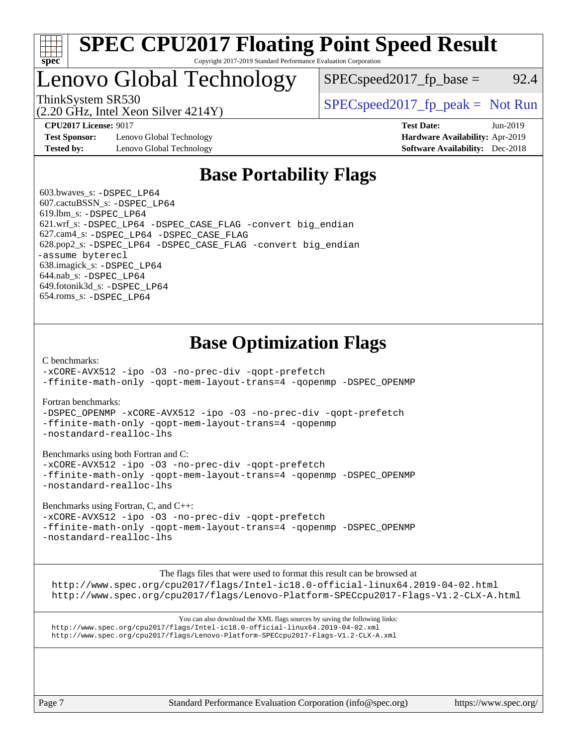

#### **[SPEC CPU2017 Floating Point Speed Result](http://www.spec.org/auto/cpu2017/Docs/result-fields.html#SPECCPU2017FloatingPointSpeedResult)** Copyright 2017-2019 Standard Performance Evaluation Corporation

## Lenovo Global Technology

ThinkSystem SR530<br>  $SPEC speed2017<sub>rfp</sub> peak = Not Run$ 

 $SPEC speed2017_fp\_base = 92.4$ 

(2.20 GHz, Intel Xeon Silver 4214Y)

**[Test Sponsor:](http://www.spec.org/auto/cpu2017/Docs/result-fields.html#TestSponsor)** Lenovo Global Technology **[Hardware Availability:](http://www.spec.org/auto/cpu2017/Docs/result-fields.html#HardwareAvailability)** Apr-2019 **[Tested by:](http://www.spec.org/auto/cpu2017/Docs/result-fields.html#Testedby)** Lenovo Global Technology **[Software Availability:](http://www.spec.org/auto/cpu2017/Docs/result-fields.html#SoftwareAvailability)** Dec-2018

**[CPU2017 License:](http://www.spec.org/auto/cpu2017/Docs/result-fields.html#CPU2017License)** 9017 **[Test Date:](http://www.spec.org/auto/cpu2017/Docs/result-fields.html#TestDate)** Jun-2019

## **[Base Portability Flags](http://www.spec.org/auto/cpu2017/Docs/result-fields.html#BasePortabilityFlags)**

 603.bwaves\_s: [-DSPEC\\_LP64](http://www.spec.org/cpu2017/results/res2019q3/cpu2017-20190624-15499.flags.html#suite_basePORTABILITY603_bwaves_s_DSPEC_LP64) 607.cactuBSSN\_s: [-DSPEC\\_LP64](http://www.spec.org/cpu2017/results/res2019q3/cpu2017-20190624-15499.flags.html#suite_basePORTABILITY607_cactuBSSN_s_DSPEC_LP64) 619.lbm\_s: [-DSPEC\\_LP64](http://www.spec.org/cpu2017/results/res2019q3/cpu2017-20190624-15499.flags.html#suite_basePORTABILITY619_lbm_s_DSPEC_LP64) 621.wrf\_s: [-DSPEC\\_LP64](http://www.spec.org/cpu2017/results/res2019q3/cpu2017-20190624-15499.flags.html#suite_basePORTABILITY621_wrf_s_DSPEC_LP64) [-DSPEC\\_CASE\\_FLAG](http://www.spec.org/cpu2017/results/res2019q3/cpu2017-20190624-15499.flags.html#b621.wrf_s_baseCPORTABILITY_DSPEC_CASE_FLAG) [-convert big\\_endian](http://www.spec.org/cpu2017/results/res2019q3/cpu2017-20190624-15499.flags.html#user_baseFPORTABILITY621_wrf_s_convert_big_endian_c3194028bc08c63ac5d04de18c48ce6d347e4e562e8892b8bdbdc0214820426deb8554edfa529a3fb25a586e65a3d812c835984020483e7e73212c4d31a38223) 627.cam4\_s: [-DSPEC\\_LP64](http://www.spec.org/cpu2017/results/res2019q3/cpu2017-20190624-15499.flags.html#suite_basePORTABILITY627_cam4_s_DSPEC_LP64) [-DSPEC\\_CASE\\_FLAG](http://www.spec.org/cpu2017/results/res2019q3/cpu2017-20190624-15499.flags.html#b627.cam4_s_baseCPORTABILITY_DSPEC_CASE_FLAG) 628.pop2\_s: [-DSPEC\\_LP64](http://www.spec.org/cpu2017/results/res2019q3/cpu2017-20190624-15499.flags.html#suite_basePORTABILITY628_pop2_s_DSPEC_LP64) [-DSPEC\\_CASE\\_FLAG](http://www.spec.org/cpu2017/results/res2019q3/cpu2017-20190624-15499.flags.html#b628.pop2_s_baseCPORTABILITY_DSPEC_CASE_FLAG) [-convert big\\_endian](http://www.spec.org/cpu2017/results/res2019q3/cpu2017-20190624-15499.flags.html#user_baseFPORTABILITY628_pop2_s_convert_big_endian_c3194028bc08c63ac5d04de18c48ce6d347e4e562e8892b8bdbdc0214820426deb8554edfa529a3fb25a586e65a3d812c835984020483e7e73212c4d31a38223) [-assume byterecl](http://www.spec.org/cpu2017/results/res2019q3/cpu2017-20190624-15499.flags.html#user_baseFPORTABILITY628_pop2_s_assume_byterecl_7e47d18b9513cf18525430bbf0f2177aa9bf368bc7a059c09b2c06a34b53bd3447c950d3f8d6c70e3faf3a05c8557d66a5798b567902e8849adc142926523472) 638.imagick\_s: [-DSPEC\\_LP64](http://www.spec.org/cpu2017/results/res2019q3/cpu2017-20190624-15499.flags.html#suite_basePORTABILITY638_imagick_s_DSPEC_LP64) 644.nab\_s: [-DSPEC\\_LP64](http://www.spec.org/cpu2017/results/res2019q3/cpu2017-20190624-15499.flags.html#suite_basePORTABILITY644_nab_s_DSPEC_LP64) 649.fotonik3d\_s: [-DSPEC\\_LP64](http://www.spec.org/cpu2017/results/res2019q3/cpu2017-20190624-15499.flags.html#suite_basePORTABILITY649_fotonik3d_s_DSPEC_LP64) 654.roms\_s: [-DSPEC\\_LP64](http://www.spec.org/cpu2017/results/res2019q3/cpu2017-20190624-15499.flags.html#suite_basePORTABILITY654_roms_s_DSPEC_LP64)

## **[Base Optimization Flags](http://www.spec.org/auto/cpu2017/Docs/result-fields.html#BaseOptimizationFlags)**

[C benchmarks](http://www.spec.org/auto/cpu2017/Docs/result-fields.html#Cbenchmarks):

[-xCORE-AVX512](http://www.spec.org/cpu2017/results/res2019q3/cpu2017-20190624-15499.flags.html#user_CCbase_f-xCORE-AVX512) [-ipo](http://www.spec.org/cpu2017/results/res2019q3/cpu2017-20190624-15499.flags.html#user_CCbase_f-ipo) [-O3](http://www.spec.org/cpu2017/results/res2019q3/cpu2017-20190624-15499.flags.html#user_CCbase_f-O3) [-no-prec-div](http://www.spec.org/cpu2017/results/res2019q3/cpu2017-20190624-15499.flags.html#user_CCbase_f-no-prec-div) [-qopt-prefetch](http://www.spec.org/cpu2017/results/res2019q3/cpu2017-20190624-15499.flags.html#user_CCbase_f-qopt-prefetch) [-ffinite-math-only](http://www.spec.org/cpu2017/results/res2019q3/cpu2017-20190624-15499.flags.html#user_CCbase_f_finite_math_only_cb91587bd2077682c4b38af759c288ed7c732db004271a9512da14a4f8007909a5f1427ecbf1a0fb78ff2a814402c6114ac565ca162485bbcae155b5e4258871) [-qopt-mem-layout-trans=4](http://www.spec.org/cpu2017/results/res2019q3/cpu2017-20190624-15499.flags.html#user_CCbase_f-qopt-mem-layout-trans_fa39e755916c150a61361b7846f310bcdf6f04e385ef281cadf3647acec3f0ae266d1a1d22d972a7087a248fd4e6ca390a3634700869573d231a252c784941a8) [-qopenmp](http://www.spec.org/cpu2017/results/res2019q3/cpu2017-20190624-15499.flags.html#user_CCbase_qopenmp_16be0c44f24f464004c6784a7acb94aca937f053568ce72f94b139a11c7c168634a55f6653758ddd83bcf7b8463e8028bb0b48b77bcddc6b78d5d95bb1df2967) [-DSPEC\\_OPENMP](http://www.spec.org/cpu2017/results/res2019q3/cpu2017-20190624-15499.flags.html#suite_CCbase_DSPEC_OPENMP)

[Fortran benchmarks](http://www.spec.org/auto/cpu2017/Docs/result-fields.html#Fortranbenchmarks):

[-DSPEC\\_OPENMP](http://www.spec.org/cpu2017/results/res2019q3/cpu2017-20190624-15499.flags.html#suite_FCbase_DSPEC_OPENMP) [-xCORE-AVX512](http://www.spec.org/cpu2017/results/res2019q3/cpu2017-20190624-15499.flags.html#user_FCbase_f-xCORE-AVX512) [-ipo](http://www.spec.org/cpu2017/results/res2019q3/cpu2017-20190624-15499.flags.html#user_FCbase_f-ipo) [-O3](http://www.spec.org/cpu2017/results/res2019q3/cpu2017-20190624-15499.flags.html#user_FCbase_f-O3) [-no-prec-div](http://www.spec.org/cpu2017/results/res2019q3/cpu2017-20190624-15499.flags.html#user_FCbase_f-no-prec-div) [-qopt-prefetch](http://www.spec.org/cpu2017/results/res2019q3/cpu2017-20190624-15499.flags.html#user_FCbase_f-qopt-prefetch) [-ffinite-math-only](http://www.spec.org/cpu2017/results/res2019q3/cpu2017-20190624-15499.flags.html#user_FCbase_f_finite_math_only_cb91587bd2077682c4b38af759c288ed7c732db004271a9512da14a4f8007909a5f1427ecbf1a0fb78ff2a814402c6114ac565ca162485bbcae155b5e4258871) [-qopt-mem-layout-trans=4](http://www.spec.org/cpu2017/results/res2019q3/cpu2017-20190624-15499.flags.html#user_FCbase_f-qopt-mem-layout-trans_fa39e755916c150a61361b7846f310bcdf6f04e385ef281cadf3647acec3f0ae266d1a1d22d972a7087a248fd4e6ca390a3634700869573d231a252c784941a8) [-qopenmp](http://www.spec.org/cpu2017/results/res2019q3/cpu2017-20190624-15499.flags.html#user_FCbase_qopenmp_16be0c44f24f464004c6784a7acb94aca937f053568ce72f94b139a11c7c168634a55f6653758ddd83bcf7b8463e8028bb0b48b77bcddc6b78d5d95bb1df2967) [-nostandard-realloc-lhs](http://www.spec.org/cpu2017/results/res2019q3/cpu2017-20190624-15499.flags.html#user_FCbase_f_2003_std_realloc_82b4557e90729c0f113870c07e44d33d6f5a304b4f63d4c15d2d0f1fab99f5daaed73bdb9275d9ae411527f28b936061aa8b9c8f2d63842963b95c9dd6426b8a)

[Benchmarks using both Fortran and C](http://www.spec.org/auto/cpu2017/Docs/result-fields.html#BenchmarksusingbothFortranandC):

[-xCORE-AVX512](http://www.spec.org/cpu2017/results/res2019q3/cpu2017-20190624-15499.flags.html#user_CC_FCbase_f-xCORE-AVX512) [-ipo](http://www.spec.org/cpu2017/results/res2019q3/cpu2017-20190624-15499.flags.html#user_CC_FCbase_f-ipo) [-O3](http://www.spec.org/cpu2017/results/res2019q3/cpu2017-20190624-15499.flags.html#user_CC_FCbase_f-O3) [-no-prec-div](http://www.spec.org/cpu2017/results/res2019q3/cpu2017-20190624-15499.flags.html#user_CC_FCbase_f-no-prec-div) [-qopt-prefetch](http://www.spec.org/cpu2017/results/res2019q3/cpu2017-20190624-15499.flags.html#user_CC_FCbase_f-qopt-prefetch) [-ffinite-math-only](http://www.spec.org/cpu2017/results/res2019q3/cpu2017-20190624-15499.flags.html#user_CC_FCbase_f_finite_math_only_cb91587bd2077682c4b38af759c288ed7c732db004271a9512da14a4f8007909a5f1427ecbf1a0fb78ff2a814402c6114ac565ca162485bbcae155b5e4258871) [-qopt-mem-layout-trans=4](http://www.spec.org/cpu2017/results/res2019q3/cpu2017-20190624-15499.flags.html#user_CC_FCbase_f-qopt-mem-layout-trans_fa39e755916c150a61361b7846f310bcdf6f04e385ef281cadf3647acec3f0ae266d1a1d22d972a7087a248fd4e6ca390a3634700869573d231a252c784941a8) [-qopenmp](http://www.spec.org/cpu2017/results/res2019q3/cpu2017-20190624-15499.flags.html#user_CC_FCbase_qopenmp_16be0c44f24f464004c6784a7acb94aca937f053568ce72f94b139a11c7c168634a55f6653758ddd83bcf7b8463e8028bb0b48b77bcddc6b78d5d95bb1df2967) [-DSPEC\\_OPENMP](http://www.spec.org/cpu2017/results/res2019q3/cpu2017-20190624-15499.flags.html#suite_CC_FCbase_DSPEC_OPENMP) [-nostandard-realloc-lhs](http://www.spec.org/cpu2017/results/res2019q3/cpu2017-20190624-15499.flags.html#user_CC_FCbase_f_2003_std_realloc_82b4557e90729c0f113870c07e44d33d6f5a304b4f63d4c15d2d0f1fab99f5daaed73bdb9275d9ae411527f28b936061aa8b9c8f2d63842963b95c9dd6426b8a)

[Benchmarks using Fortran, C, and C++:](http://www.spec.org/auto/cpu2017/Docs/result-fields.html#BenchmarksusingFortranCandCXX)

[-xCORE-AVX512](http://www.spec.org/cpu2017/results/res2019q3/cpu2017-20190624-15499.flags.html#user_CC_CXX_FCbase_f-xCORE-AVX512) [-ipo](http://www.spec.org/cpu2017/results/res2019q3/cpu2017-20190624-15499.flags.html#user_CC_CXX_FCbase_f-ipo) [-O3](http://www.spec.org/cpu2017/results/res2019q3/cpu2017-20190624-15499.flags.html#user_CC_CXX_FCbase_f-O3) [-no-prec-div](http://www.spec.org/cpu2017/results/res2019q3/cpu2017-20190624-15499.flags.html#user_CC_CXX_FCbase_f-no-prec-div) [-qopt-prefetch](http://www.spec.org/cpu2017/results/res2019q3/cpu2017-20190624-15499.flags.html#user_CC_CXX_FCbase_f-qopt-prefetch) [-ffinite-math-only](http://www.spec.org/cpu2017/results/res2019q3/cpu2017-20190624-15499.flags.html#user_CC_CXX_FCbase_f_finite_math_only_cb91587bd2077682c4b38af759c288ed7c732db004271a9512da14a4f8007909a5f1427ecbf1a0fb78ff2a814402c6114ac565ca162485bbcae155b5e4258871) [-qopt-mem-layout-trans=4](http://www.spec.org/cpu2017/results/res2019q3/cpu2017-20190624-15499.flags.html#user_CC_CXX_FCbase_f-qopt-mem-layout-trans_fa39e755916c150a61361b7846f310bcdf6f04e385ef281cadf3647acec3f0ae266d1a1d22d972a7087a248fd4e6ca390a3634700869573d231a252c784941a8) [-qopenmp](http://www.spec.org/cpu2017/results/res2019q3/cpu2017-20190624-15499.flags.html#user_CC_CXX_FCbase_qopenmp_16be0c44f24f464004c6784a7acb94aca937f053568ce72f94b139a11c7c168634a55f6653758ddd83bcf7b8463e8028bb0b48b77bcddc6b78d5d95bb1df2967) [-DSPEC\\_OPENMP](http://www.spec.org/cpu2017/results/res2019q3/cpu2017-20190624-15499.flags.html#suite_CC_CXX_FCbase_DSPEC_OPENMP) [-nostandard-realloc-lhs](http://www.spec.org/cpu2017/results/res2019q3/cpu2017-20190624-15499.flags.html#user_CC_CXX_FCbase_f_2003_std_realloc_82b4557e90729c0f113870c07e44d33d6f5a304b4f63d4c15d2d0f1fab99f5daaed73bdb9275d9ae411527f28b936061aa8b9c8f2d63842963b95c9dd6426b8a)

The flags files that were used to format this result can be browsed at

<http://www.spec.org/cpu2017/flags/Intel-ic18.0-official-linux64.2019-04-02.html> <http://www.spec.org/cpu2017/flags/Lenovo-Platform-SPECcpu2017-Flags-V1.2-CLX-A.html>

You can also download the XML flags sources by saving the following links: <http://www.spec.org/cpu2017/flags/Intel-ic18.0-official-linux64.2019-04-02.xml> <http://www.spec.org/cpu2017/flags/Lenovo-Platform-SPECcpu2017-Flags-V1.2-CLX-A.xml>